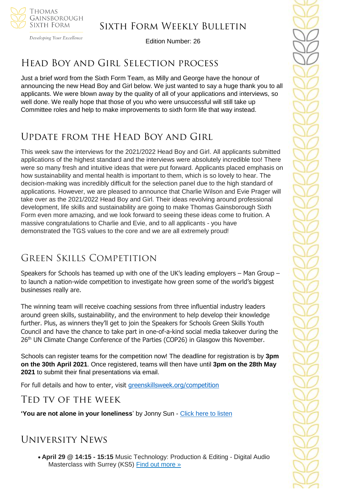

Developing Your Excellence

Edition Number: 26

### Head Boy and Girl Selection process

Just a brief word from the Sixth Form Team, as Milly and George have the honour of announcing the new Head Boy and Girl below. We just wanted to say a huge thank you to all applicants. We were blown away by the quality of all of your applications and interviews, so well done. We really hope that those of you who were unsuccessful will still take up Committee roles and help to make improvements to sixth form life that way instead.

# Update from the Head Boy and Girl

This week saw the interviews for the 2021/2022 Head Boy and Girl. All applicants submitted applications of the highest standard and the interviews were absolutely incredible too! There were so many fresh and intuitive ideas that were put forward. Applicants placed emphasis on how sustainability and mental health is important to them, which is so lovely to hear. The decision-making was incredibly difficult for the selection panel due to the high standard of applications. However, we are pleased to announce that Charlie Wilson and Evie Prager will take over as the 2021/2022 Head Boy and Girl. Their ideas revolving around professional development, life skills and sustainability are going to make Thomas Gainsborough Sixth Form even more amazing, and we look forward to seeing these ideas come to fruition. A massive congratulations to Charlie and Evie, and to all applicants - you have demonstrated the TGS values to the core and we are all extremely proud!

# Green Skills Competition

Speakers for Schools has teamed up with one of the UK's leading employers – Man Group – to launch a nation-wide competition to investigate how green some of the world's biggest businesses really are.

The winning team will receive coaching sessions from three influential industry leaders around green skills, sustainability, and the environment to help develop their knowledge further. Plus, as winners they'll get to join the Speakers for Schools Green Skills Youth Council and have the chance to take part in one-of-a-kind social media takeover during the 26<sup>th</sup> UN Climate Change Conference of the Parties (COP26) in Glasgow this November.

Schools can register teams for the competition now! The deadline for registration is by **3pm on the 30th April 2021**. Once registered, teams will then have until **3pm on the 28th May 2021** to submit their final presentations via email.

For full details and how to enter, visit [greenskillsweek.org/competition](https://www.greenskillsweek.org/competition)

### Ted tv of the week

**'You are not alone in your loneliness**' by Jonny Sun - [Click here to listen](https://www.ted.com/talks/jonny_sun_you_are_not_alone_in_your_loneliness?rid=fSI4jtfmEYsk&utm_source=recommendation&utm_medium=email&utm_campaign=explore&utm_term=watchNow)

# University News

• **April 29 @ 14:15 - 15:15** Music Technology: Production & Editing - Digital Audio Masterclass with Surrey (KS5) [Find out more »](https://channeltalent.us10.list-manage.com/track/click?u=145837fa6843e0c349598322a&id=258e65bff9&e=155232616c)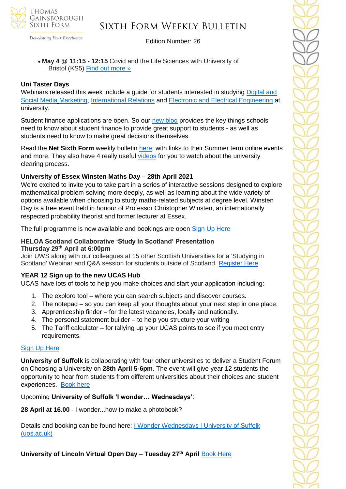

Developing Your Excellence

#### Edition Number: 26

#### • **May 4 @ 11:15 - 12:15** Covid and the Life Sciences with University of Bristol (KS5) [Find out more »](https://channeltalent.us10.list-manage.com/track/click?u=145837fa6843e0c349598322a&id=bd2d4da82a&e=155232616c)

#### **Uni Taster Days**

Webinars released this week include a guide for students interested in studying Digital and [Social Media](http://url5112.unitasterdays.com/ls/click?upn=8cCDFFt1CEplPEUylPsueOEModhQgLASLxoEF1jRKeAbmaL7GDTqYfLYrSnfRnHigae-2BNlPW2aPxxZY8Jq2hcQJr8ZTRSrAVnOAfflweZsoBoktgyqNv3JbE15janKSm_UM2_rrBcZmH1MRZ5ke5s2mUzm2U0gKzRtHoodNNH45d3FP-2BAqFWjlDPIhIz-2Fc3wiltUOVlweYF-2B7XsMUXvxCzjpjy28lEO-2Bow-2FxrBDMi07C6qZkxQjeBCcCkt-2FNudBLWtfAX3vyZboS8UD8Uw8R5yofEB2-2BhUf3k3XfYFf9ZbrwRzSpCbDF0vwXcJ-2F5sJLUvT8fFmMIt0QdLRgJuXC7IffOs7w-3D-3D) Marketing, [International Relations](http://url5112.unitasterdays.com/ls/click?upn=8cCDFFt1CEplPEUylPsueOEModhQgLASLxoEF1jRKeAbmaL7GDTqYfLYrSnfRnHiCIyC7n7AuueGkAQf37jymJQT6vrldarAxoyt9DRiHNtBFgOFiRwwclTLz9-2BwONuFkg1b_rrBcZmH1MRZ5ke5s2mUzm2U0gKzRtHoodNNH45d3FP-2BAqFWjlDPIhIz-2Fc3wiltUO-2BduIU97fuQK-2FthQXZRtmfTvLD73UDseh4qNDekNynuX7SS-2BFgxWHK5T1xjAsRn4LLs0Boa2LZ0yXLhNcGVQMkFIKf3YMpXVOhwgwOqLTL2rUIwoQz3TsK4ce-2F6mRjwKs0el-2FcMZ5cPPEJ0bpB4PdJA-3D-3D) and [Electronic and Electrical Engineering](http://url5112.unitasterdays.com/ls/click?upn=8cCDFFt1CEplPEUylPsueOEModhQgLASLxoEF1jRKeAbmaL7GDTqYfLYrSnfRnHi2CMZskAYTdMJ538yq0xyMuchj5McEWvx0sDORa-2BKVANCIqT6MxrHCEE8y-2BkiZjT7SOt-2FDP9UVChnfp7-2F65bD1A-3D-3DaR5T_rrBcZmH1MRZ5ke5s2mUzm2U0gKzRtHoodNNH45d3FP-2BAqFWjlDPIhIz-2Fc3wiltUOlj89IN7TvS1vOvzYumK2nYsswJ3hxd6ZpQYntMOmdcDGkIkAOztOeQ-2Bylw9pi-2F4v611CeP-2B0R-2FQ1NzHxtCGy6xil2LICApN9O76Fy2V-2BjVWl8M6Gi4mj8gP6hyqlXQtkjm-2FcpolZujK2204tCq6MtA-3D-3D) at university.

Student finance applications are open. So our [new blog](http://url5112.unitasterdays.com/ls/click?upn=8cCDFFt1CEplPEUylPsueOEModhQgLASLxoEF1jRKeBQk-2FHgy5-2BIW4Vzoxy1rQwkuReaCOKeZPiQKmMdbT8vGVU6aOQp24N3SGDYA4jMvvsCGm0Ww2VCCNqlzStZrB3lk8hxS9RAALC6DBe9gtyetZE-2B4vTV9mRwRcXX35YpgbziHPTUnY9n9Ne-2B8jDKY3O7oRb0_rrBcZmH1MRZ5ke5s2mUzm2U0gKzRtHoodNNH45d3FP-2BAqFWjlDPIhIz-2Fc3wiltUOmAwuV9GIque7wg86E7fK8h7DUYE7t2df-2BmLh1jCy1CtRNR5KJHTVcYOTm5EvsAqTAe2CiIRpGQeP1lhXSlHLXta3ffmwimyK0DwlOS-2BjL-2F-2FNapygbeyrx3-2B8B4yTaisuN2t8wDRz4HL48NIOQMxvKg-3D-3D) provides the key things schools need to know about student finance to provide great support to students - as well as students need to know to make great decisions themselves.

Read the **Net Sixth Form** weekly bulletin [here,](https://us5.campaign-archive.com/?u=8dedc07ce580600fe618f38c3&id=17a6cf0176&e=5eb29481e7) with links to their Summer term online events and more. They also have 4 really useful [videos](https://www.netsixthform.co.uk/resources/browse?keywords=&free=0&category%5B%5D=71&utm_source=Head+of+Sixth+Free+Newsletter&utm_campaign=bdf0b2c8a9-19+April+mailing&utm_medium=email&utm_term=0_36c44588b4-bdf0b2c8a9-116052281) for you to watch about the university clearing process.

#### **University of Essex Winsten Maths Day – 28th April 2021**

We're excited to invite you to take part in a series of interactive sessions designed to explore mathematical problem-solving more deeply, as well as learning about the wide variety of options available when choosing to study maths-related subjects at degree level. Winsten Day is a free event held in honour of Professor Christopher Winsten, an internationally respected probability theorist and former lecturer at Essex.

The full programme is now available and bookings are open [Sign Up Here](https://analytics-eu.clickdimensions.com/essexacuk-an2ri/pages/k2wg83p3eeubnabqvjqthg.html?PageId=f3866593777aeb118134005056342d86&_cldee=a2FsZXhhbmRlckB0Z3NjaG9vbC5uZXQ%3d&recipientid=contact-f181254425e7e81180fe005056342d86-d659a1773708455c9b7c5b14cf33b435&esid=442908e3-9b9e-eb11-8136-005056342d86)

#### **HELOA Scotland Collaborative 'Study in Scotland' Presentation Thursday 29th April at 6:00pm**

Join UWS along with our colleagues at 15 other Scottish Universities for a 'Studying in Scotland' Webinar and Q&A session for students outside of Scotland. [Register Here](https://gck.fm/mzyiq)

#### **YEAR 12 Sign up to the new UCAS Hub**

UCAS have lots of tools to help you make choices and start your application including:

- 1. The explore tool where you can search subjects and discover courses.
- 2. The notepad so you can keep all your thoughts about your next step in one place.
- 3. Apprenticeship finder for the latest vacancies, locally and nationally.
- 4. The personal statement builder to help you structure your writing
- 5. The Tariff calculator for tallying up your UCAS points to see if you meet entry requirements.

#### [Sign Up Here](https://www.ucas.com/what-are-my-options/create-your-ucas-hub-today?utm_source=Head+of+Sixth+Free+Newsletter&utm_campaign=17a6cf0176-Student+opportunities+-+19+April+2021&utm_medium=email&utm_term=0_36c44588b4-17a6cf0176-115737769&mc_cid=17a6cf0176&mc_eid=51b5a4fd55)

**University of Suffolk** is collaborating with four other universities to deliver a Student Forum on Choosing a University on **28th April 5-6pm**. The event will give year 12 students the opportunity to hear from students from different universities about their choices and student experiences. [Book](https://register.gotowebinar.com/register/3354987522350670859?source=Suffolk) here

Upcoming **University of Suffolk 'I wonder… Wednesdays'**:

**28 April at 16.00** - I wonder...how to make a photobook?

Details and booking can be found here: [I Wonder Wednesdays | University of Suffolk](https://www.uos.ac.uk/Iwonderwednesdays)  [\(uos.ac.uk\)](https://www.uos.ac.uk/Iwonderwednesdays)

**University of Lincoln Virtual Open Day** – **Tuesday 27th April** [Book Here](https://www.lincoln.ac.uk/home/studywithus/opendaysandvisits/undergraduateopendays/)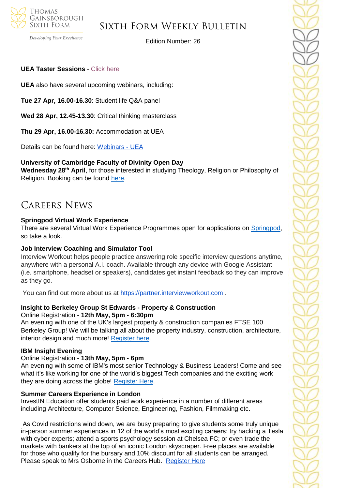

Developing Your Excellence

Edition Number: 26

#### **UEA Taster Sessions** - [Click here](https://www.uea.ac.uk/study/information-for/young-people/subject-taster-sessions)

**UEA** also have several upcoming webinars, including:

**Tue 27 Apr, 16.00-16.30**: Student life Q&A panel

**Wed 28 Apr, 12.45-13.30**: Critical thinking masterclass

**Thu 29 Apr, 16.00-16.30:** Accommodation at UEA

Details can be found here: [Webinars -](https://www.uea.ac.uk/study/information-for/young-people/webinars) UEA

#### **University of Cambridge Faculty of Divinity Open Day**

**Wednesday 28th April**, for those interested in studying Theology, Religion or Philosophy of Religion. Booking can be found [here.](https://cambridge.eu.qualtrics.com/jfe/form/SV_dhv3mKpZT9obbHE)

### Careers News

#### **Springpod Virtual Work Experience**

There are several Virtual Work Experience Programmes open for applications on [Springpod,](https://www.springpod.co.uk/virtual-work-experience-programmes) so take a look.

#### **Job Interview Coaching and Simulator Tool**

Interview Workout helps people practice answering role specific interview questions anytime, anywhere with a personal A.I. coach. Available through any device with Google Assistant (i.e. smartphone, headset or speakers), candidates get instant feedback so they can improve as they go.

You can find out more about us at [https://partner.interviewworkout.com](https://partner.interviewworkout.com/) .

### **Insight to Berkeley Group St Edwards - Property & Construction**

Online Registration - **12th May, 5pm - 6:30pm** An evening with one of the UK's largest property & construction companies FTSE 100 Berkeley Group! We will be talking all about the property industry, construction, architecture, interior design and much more! [Register here.](https://www.research.net/r/Berkeley-Group-Event)

#### **IBM Insight Evening**

#### Online Registration - **13th May, 5pm - 6pm**

An evening with some of IBM's most senior Technology & Business Leaders! Come and see what it's like working for one of the world's biggest Tech companies and the exciting work they are doing across the globe! [Register Here.](https://www.research.net/r/IBM-Insight-Evening)

#### **Summer Careers Experience in London**

InvestIN Education offer students paid work experience in a number of different areas including Architecture, Computer Science, Engineering, Fashion, Filmmaking etc.

As Covid restrictions wind down, we are busy preparing to give students some truly unique in-person summer experiences in 12 of the world's most exciting careers: try hacking a Tesla with cyber experts; attend a sports psychology session at Chelsea FC; or even trade the markets with bankers at the top of an iconic London skyscraper. Free places are available for those who qualify for the bursary and 10% discount for all students can be arranged. Please speak to Mrs Osborne in the Careers Hub. [Register Here](https://investin.org/pages/choose-your-summer-career-experience-ages-15-18?mc_cid=a14631453b&mc_eid=894e4199ae)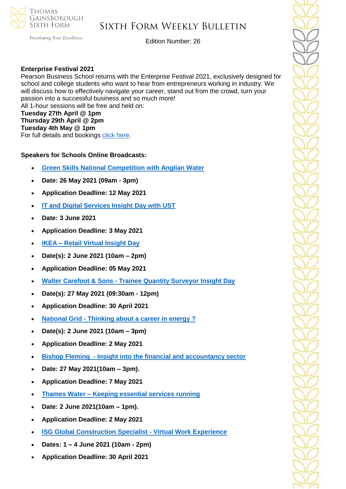

Developing Your Excellence

Edition Number: 26

#### **Enterprise Festival 2021**

Pearson Business School returns with the Enterprise Festival 2021, exclusively designed for school and college students who want to hear from entrepreneurs working in industry. We will discuss how to effectively navigate your career, stand out from the crowd, turn your passion into a successful business and so much more! All 1-hour sessions will be free and held on: **Tuesday 27th April @ 1pm Thursday 29th April @ 2pm Tuesday 4th May @ 1pm** For full details and bookings [click here.](https://www.pearsoncollegelondon.ac.uk/campaigns/the-enterprise-festival.html?utm_source=pbs_enterprisefestival&utm_medium=unitasterdays_newstetter)

#### **Speakers for Schools Online Broadcasts:**

- **[Green Skills National Competition with Anglian Water](https://www.s4snextgen.org/Opportunities/View/id/1321)**
- **Date: 26 May 2021 (09am - 3pm)**
- **Application Deadline: 12 May 2021**
- **[IT and Digital Services Insight Day with UST](https://www.s4snextgen.org/Opportunities/View/id/1421)**
- **Date: 3 June 2021**
- **Application Deadline: 3 May 2021**
- **IKEA – [Retail Virtual Insight Day](https://www.s4snextgen.org/Opportunities/View/id/1444)**
- **Date(s): 2 June 2021 (10am – 2pm)**
- **Application Deadline: 05 May 2021**
- **Walter Carefoot & Sons - [Trainee Quantity Surveyor Insight Day](https://www.s4snextgen.org/Opportunities/View/id/1237)**
- **Date(s): 27 May 2021 (09:30am - 12pm)**
- **Application Deadline: 30 April 2021**
- **National Grid - [Thinking about a career in energy ?](https://www.s4snextgen.org/Opportunities/View/id/1337)**
- **Date(s): 2 June 2021 (10am – 3pm)**
- **Application Deadline: 2 May 2021**
- **Bishop Fleming - [Insight into the financial and accountancy sector](https://www.s4snextgen.org/Opportunities/View/id/1424)**
- **Date: 27 May 2021(10am – 3pm).**
- **Application Deadline: 7 May 2021**
- **Thames Water – [Keeping essential services running](https://www.s4snextgen.org/Opportunities/View/id/1373)**
- **Date: 2 June 2021(10am – 1pm).**
- **Application Deadline: 2 May 2021**
- **[ISG Global Construction Specialist -](https://www.s4snextgen.org/Opportunities/View/id/1455) Virtual Work Experience**
- **Dates: 1 – 4 June 2021 (10am - 2pm)**
- **Application Deadline: 30 April 2021**